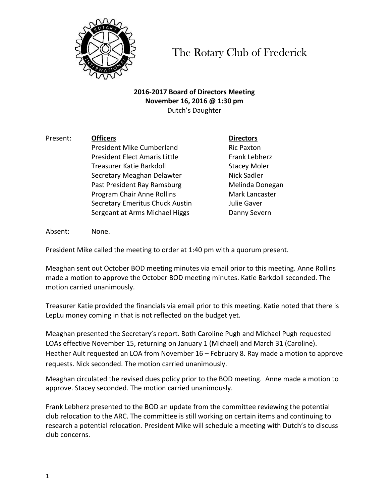

The Rotary Club of Frederick

## **2016-2017 Board of Directors Meeting November 16, 2016 @ 1:30 pm** Dutch's Daughter

Present: **Officers Directors** President Mike Cumberland Ric Paxton President Elect Amaris Little Frank Lebherz Treasurer Katie Barkdoll **Stacey Moler** Stacey Moler Secretary Meaghan Delawter **Nick Sadler** Past President Ray Ramsburg Melinda Donegan Program Chair Anne Rollins **Mark Lancaster** Secretary Emeritus Chuck Austin **Julie Gaver** Sergeant at Arms Michael Higgs **Danny Severn** 

Absent: None.

President Mike called the meeting to order at 1:40 pm with a quorum present.

Meaghan sent out October BOD meeting minutes via email prior to this meeting. Anne Rollins made a motion to approve the October BOD meeting minutes. Katie Barkdoll seconded. The motion carried unanimously.

Treasurer Katie provided the financials via email prior to this meeting. Katie noted that there is LepLu money coming in that is not reflected on the budget yet.

Meaghan presented the Secretary's report. Both Caroline Pugh and Michael Pugh requested LOAs effective November 15, returning on January 1 (Michael) and March 31 (Caroline). Heather Ault requested an LOA from November 16 – February 8. Ray made a motion to approve requests. Nick seconded. The motion carried unanimously.

Meaghan circulated the revised dues policy prior to the BOD meeting. Anne made a motion to approve. Stacey seconded. The motion carried unanimously.

Frank Lebherz presented to the BOD an update from the committee reviewing the potential club relocation to the ARC. The committee is still working on certain items and continuing to research a potential relocation. President Mike will schedule a meeting with Dutch's to discuss club concerns.